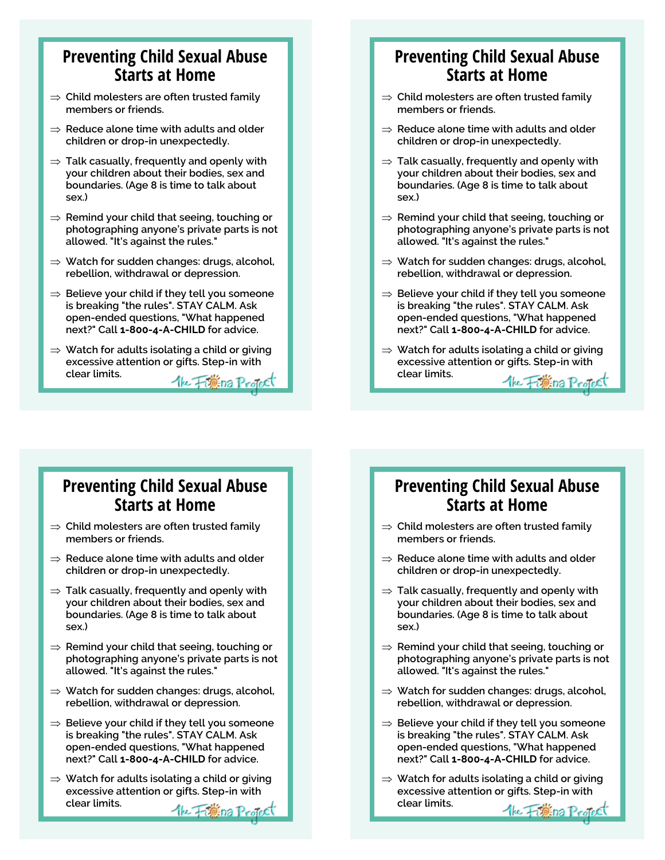#### **Preventing Child Sexual Abuse Starts at Home**

- **Child molesters are often trusted family members or friends.**
- **Reduce alone time with adults and older children or drop-in unexpectedly.**
- **Talk casually, frequently and openly with your children about their bodies, sex and boundaries. (Age 8 is time to talk about sex.)**
- $\Rightarrow$  **Remind your child that seeing, touching or photographing anyone's private parts is not allowed. "It's against the rules."**
- **Watch for sudden changes: drugs, alcohol, rebellion, withdrawal or depression.**
- **Believe your child if they tell you someone is breaking "the rules". STAY CALM. Ask open-ended questions, "What happened next?" Call 1-800-4-A-CHILD for advice.**
- **Watch for adults isolating a child or giving excessive attention or gifts. Step-in with clear limits.**  The Fighting Project

#### **Preventing Child Sexual Abuse Starts at Home**

- **Child molesters are often trusted family members or friends.**
- **Reduce alone time with adults and older children or drop-in unexpectedly.**
- **Talk casually, frequently and openly with your children about their bodies, sex and boundaries. (Age 8 is time to talk about sex.)**
- $\Rightarrow$  **Remind your child that seeing, touching or photographing anyone's private parts is not allowed. "It's against the rules."**
- **Watch for sudden changes: drugs, alcohol, rebellion, withdrawal or depression.**
- **Believe your child if they tell you someone is breaking "the rules". STAY CALM. Ask open-ended questions, "What happened next?" Call 1-800-4-A-CHILD for advice.**
- **Watch for adults isolating a child or giving excessive attention or gifts. Step-in with clear limits.** the Figure Project

#### **Preventing Child Sexual Abuse Starts at Home**

- **Child molesters are often trusted family members or friends.**
- **Reduce alone time with adults and older children or drop-in unexpectedly.**
- **Talk casually, frequently and openly with your children about their bodies, sex and boundaries. (Age 8 is time to talk about sex.)**
- $\Rightarrow$  Remind your child that seeing, touching or **photographing anyone's private parts is not allowed. "It's against the rules."**
- **Watch for sudden changes: drugs, alcohol, rebellion, withdrawal or depression.**
- **Believe your child if they tell you someone is breaking "the rules". STAY CALM. Ask open-ended questions, "What happened next?" Call 1-800-4-A-CHILD for advice.**
- **Watch for adults isolating a child or giving excessive attention or gifts. Step-in with clear limits.** the Figure Project

#### **Preventing Child Sexual Abuse Starts at Home**

- **Child molesters are often trusted family members or friends.**
- **Reduce alone time with adults and older children or drop-in unexpectedly.**
- **Talk casually, frequently and openly with your children about their bodies, sex and boundaries. (Age 8 is time to talk about sex.)**
- **⇒ Remind your child that seeing, touching or photographing anyone's private parts is not allowed. "It's against the rules."**
- **Watch for sudden changes: drugs, alcohol, rebellion, withdrawal or depression.**
- **Believe your child if they tell you someone is breaking "the rules". STAY CALM. Ask open-ended questions, "What happened next?" Call 1-800-4-A-CHILD for advice.**
- **Watch for adults isolating a child or giving excessive attention or gifts. Step-in with clear limits.**the Figure Protect